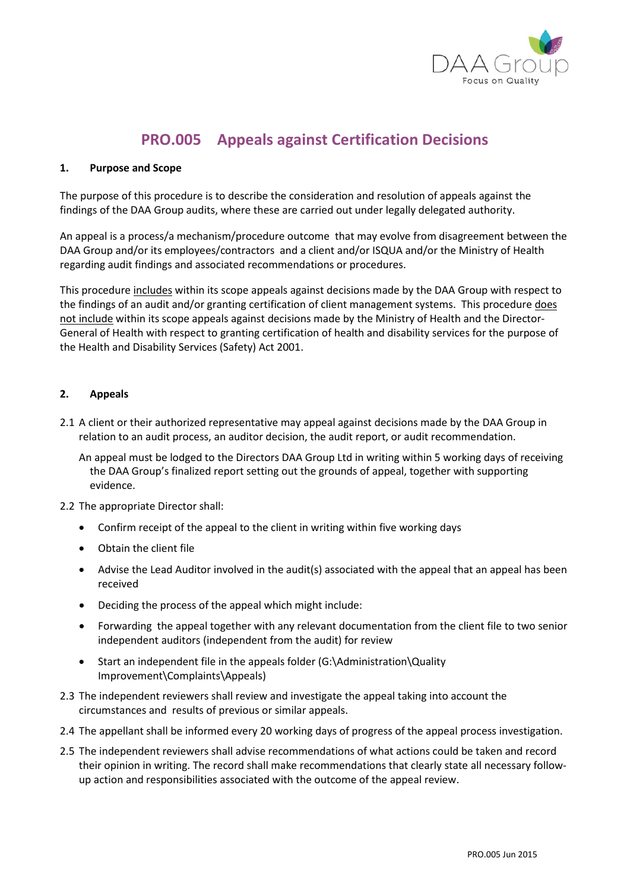

## **PRO.005 Appeals against Certification Decisions**

## **1. Purpose and Scope**

The purpose of this procedure is to describe the consideration and resolution of appeals against the findings of the DAA Group audits, where these are carried out under legally delegated authority.

An appeal is a process/a mechanism/procedure outcome that may evolve from disagreement between the DAA Group and/or its employees/contractors and a client and/or ISQUA and/or the Ministry of Health regarding audit findings and associated recommendations or procedures.

This procedure includes within its scope appeals against decisions made by the DAA Group with respect to the findings of an audit and/or granting certification of client management systems. This procedure does not include within its scope appeals against decisions made by the Ministry of Health and the Director-General of Health with respect to granting certification of health and disability services for the purpose of the Health and Disability Services (Safety) Act 2001.

## **2. Appeals**

2.1 A client or their authorized representative may appeal against decisions made by the DAA Group in relation to an audit process, an auditor decision, the audit report, or audit recommendation.

An appeal must be lodged to the Directors DAA Group Ltd in writing within 5 working days of receiving the DAA Group's finalized report setting out the grounds of appeal, together with supporting evidence.

## 2.2 The appropriate Director shall:

- Confirm receipt of the appeal to the client in writing within five working days
- Obtain the client file
- Advise the Lead Auditor involved in the audit(s) associated with the appeal that an appeal has been received
- Deciding the process of the appeal which might include:
- Forwarding the appeal together with any relevant documentation from the client file to two senior independent auditors (independent from the audit) for review
- Start an independent file in the appeals folder (G:\Administration\Quality Improvement\Complaints\Appeals)
- 2.3 The independent reviewers shall review and investigate the appeal taking into account the circumstances and results of previous or similar appeals.
- 2.4 The appellant shall be informed every 20 working days of progress of the appeal process investigation.
- 2.5 The independent reviewers shall advise recommendations of what actions could be taken and record their opinion in writing. The record shall make recommendations that clearly state all necessary followup action and responsibilities associated with the outcome of the appeal review.